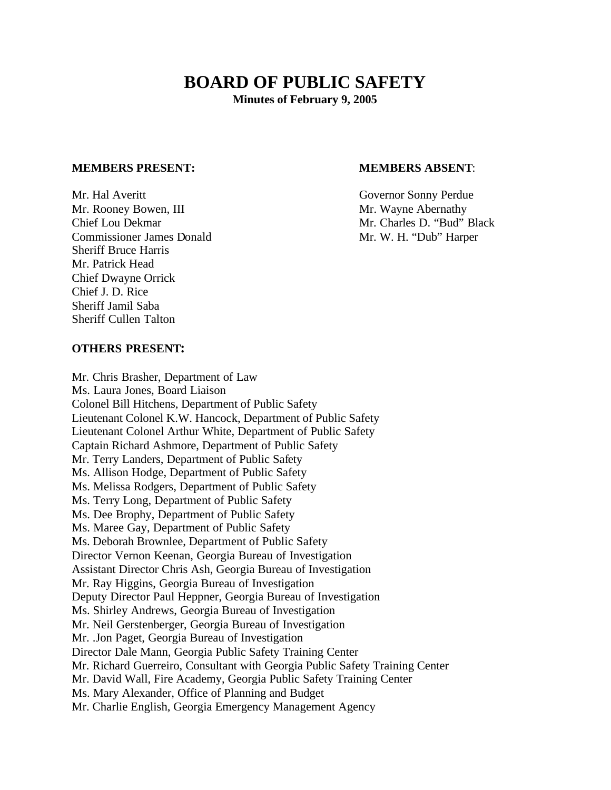# **BOARD OF PUBLIC SAFETY Minutes of February 9, 2005**

#### **MEMBERS PRESENT: MEMBERS ABSENT**:

Mr. Hal Averitt Governor Sonny Perdue Mr. Rooney Bowen, III Mr. Wayne Abernathy Chief Lou Dekmar Mr. Charles D. "Bud" Black Commissioner James Donald Mr. W. H. "Dub" Harper Sheriff Bruce Harris Mr. Patrick Head Chief Dwayne Orrick Chief J. D. Rice Sheriff Jamil Saba Sheriff Cullen Talton

#### **OTHERS PRESENT:**

Mr. Chris Brasher, Department of Law Ms. Laura Jones, Board Liaison Colonel Bill Hitchens, Department of Public Safety Lieutenant Colonel K.W. Hancock, Department of Public Safety Lieutenant Colonel Arthur White, Department of Public Safety Captain Richard Ashmore, Department of Public Safety Mr. Terry Landers, Department of Public Safety Ms. Allison Hodge, Department of Public Safety Ms. Melissa Rodgers, Department of Public Safety Ms. Terry Long, Department of Public Safety Ms. Dee Brophy, Department of Public Safety Ms. Maree Gay, Department of Public Safety Ms. Deborah Brownlee, Department of Public Safety Director Vernon Keenan, Georgia Bureau of Investigation Assistant Director Chris Ash, Georgia Bureau of Investigation Mr. Ray Higgins, Georgia Bureau of Investigation Deputy Director Paul Heppner, Georgia Bureau of Investigation Ms. Shirley Andrews, Georgia Bureau of Investigation Mr. Neil Gerstenberger, Georgia Bureau of Investigation Mr. .Jon Paget, Georgia Bureau of Investigation Director Dale Mann, Georgia Public Safety Training Center Mr. Richard Guerreiro, Consultant with Georgia Public Safety Training Center Mr. David Wall, Fire Academy, Georgia Public Safety Training Center Ms. Mary Alexander, Office of Planning and Budget Mr. Charlie English, Georgia Emergency Management Agency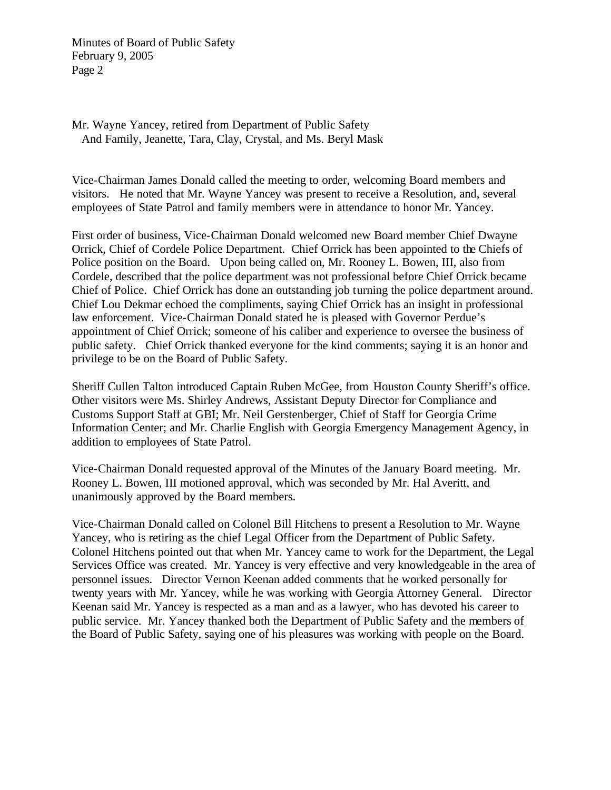Mr. Wayne Yancey, retired from Department of Public Safety And Family, Jeanette, Tara, Clay, Crystal, and Ms. Beryl Mask

Vice-Chairman James Donald called the meeting to order, welcoming Board members and visitors. He noted that Mr. Wayne Yancey was present to receive a Resolution, and, several employees of State Patrol and family members were in attendance to honor Mr. Yancey.

First order of business, Vice-Chairman Donald welcomed new Board member Chief Dwayne Orrick, Chief of Cordele Police Department. Chief Orrick has been appointed to the Chiefs of Police position on the Board. Upon being called on, Mr. Rooney L. Bowen, III, also from Cordele, described that the police department was not professional before Chief Orrick became Chief of Police. Chief Orrick has done an outstanding job turning the police department around. Chief Lou Dekmar echoed the compliments, saying Chief Orrick has an insight in professional law enforcement. Vice-Chairman Donald stated he is pleased with Governor Perdue's appointment of Chief Orrick; someone of his caliber and experience to oversee the business of public safety. Chief Orrick thanked everyone for the kind comments; saying it is an honor and privilege to be on the Board of Public Safety.

Sheriff Cullen Talton introduced Captain Ruben McGee, from Houston County Sheriff's office. Other visitors were Ms. Shirley Andrews, Assistant Deputy Director for Compliance and Customs Support Staff at GBI; Mr. Neil Gerstenberger, Chief of Staff for Georgia Crime Information Center; and Mr. Charlie English with Georgia Emergency Management Agency, in addition to employees of State Patrol.

Vice-Chairman Donald requested approval of the Minutes of the January Board meeting. Mr. Rooney L. Bowen, III motioned approval, which was seconded by Mr. Hal Averitt, and unanimously approved by the Board members.

Vice-Chairman Donald called on Colonel Bill Hitchens to present a Resolution to Mr. Wayne Yancey, who is retiring as the chief Legal Officer from the Department of Public Safety. Colonel Hitchens pointed out that when Mr. Yancey came to work for the Department, the Legal Services Office was created. Mr. Yancey is very effective and very knowledgeable in the area of personnel issues. Director Vernon Keenan added comments that he worked personally for twenty years with Mr. Yancey, while he was working with Georgia Attorney General. Director Keenan said Mr. Yancey is respected as a man and as a lawyer, who has devoted his career to public service. Mr. Yancey thanked both the Department of Public Safety and the members of the Board of Public Safety, saying one of his pleasures was working with people on the Board.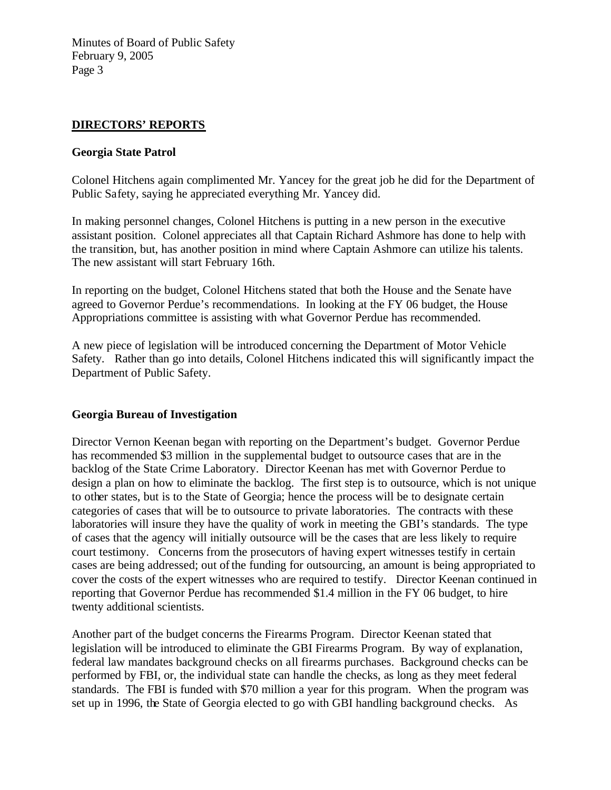## **DIRECTORS' REPORTS**

#### **Georgia State Patrol**

Colonel Hitchens again complimented Mr. Yancey for the great job he did for the Department of Public Safety, saying he appreciated everything Mr. Yancey did.

In making personnel changes, Colonel Hitchens is putting in a new person in the executive assistant position. Colonel appreciates all that Captain Richard Ashmore has done to help with the transition, but, has another position in mind where Captain Ashmore can utilize his talents. The new assistant will start February 16th.

In reporting on the budget, Colonel Hitchens stated that both the House and the Senate have agreed to Governor Perdue's recommendations. In looking at the FY 06 budget, the House Appropriations committee is assisting with what Governor Perdue has recommended.

A new piece of legislation will be introduced concerning the Department of Motor Vehicle Safety. Rather than go into details, Colonel Hitchens indicated this will significantly impact the Department of Public Safety.

## **Georgia Bureau of Investigation**

Director Vernon Keenan began with reporting on the Department's budget. Governor Perdue has recommended \$3 million in the supplemental budget to outsource cases that are in the backlog of the State Crime Laboratory. Director Keenan has met with Governor Perdue to design a plan on how to eliminate the backlog. The first step is to outsource, which is not unique to other states, but is to the State of Georgia; hence the process will be to designate certain categories of cases that will be to outsource to private laboratories. The contracts with these laboratories will insure they have the quality of work in meeting the GBI's standards. The type of cases that the agency will initially outsource will be the cases that are less likely to require court testimony. Concerns from the prosecutors of having expert witnesses testify in certain cases are being addressed; out of the funding for outsourcing, an amount is being appropriated to cover the costs of the expert witnesses who are required to testify. Director Keenan continued in reporting that Governor Perdue has recommended \$1.4 million in the FY 06 budget, to hire twenty additional scientists.

Another part of the budget concerns the Firearms Program. Director Keenan stated that legislation will be introduced to eliminate the GBI Firearms Program. By way of explanation, federal law mandates background checks on all firearms purchases. Background checks can be performed by FBI, or, the individual state can handle the checks, as long as they meet federal standards. The FBI is funded with \$70 million a year for this program. When the program was set up in 1996, the State of Georgia elected to go with GBI handling background checks. As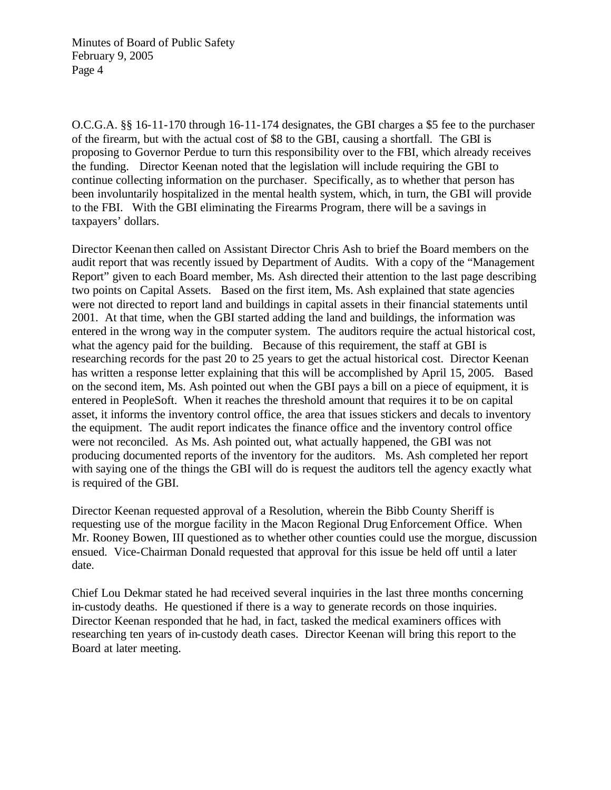O.C.G.A. §§ 16-11-170 through 16-11-174 designates, the GBI charges a \$5 fee to the purchaser of the firearm, but with the actual cost of \$8 to the GBI, causing a shortfall. The GBI is proposing to Governor Perdue to turn this responsibility over to the FBI, which already receives the funding. Director Keenan noted that the legislation will include requiring the GBI to continue collecting information on the purchaser. Specifically, as to whether that person has been involuntarily hospitalized in the mental health system, which, in turn, the GBI will provide to the FBI. With the GBI eliminating the Firearms Program, there will be a savings in taxpayers' dollars.

Director Keenan then called on Assistant Director Chris Ash to brief the Board members on the audit report that was recently issued by Department of Audits. With a copy of the "Management Report" given to each Board member, Ms. Ash directed their attention to the last page describing two points on Capital Assets. Based on the first item, Ms. Ash explained that state agencies were not directed to report land and buildings in capital assets in their financial statements until 2001. At that time, when the GBI started adding the land and buildings, the information was entered in the wrong way in the computer system. The auditors require the actual historical cost, what the agency paid for the building. Because of this requirement, the staff at GBI is researching records for the past 20 to 25 years to get the actual historical cost. Director Keenan has written a response letter explaining that this will be accomplished by April 15, 2005. Based on the second item, Ms. Ash pointed out when the GBI pays a bill on a piece of equipment, it is entered in PeopleSoft. When it reaches the threshold amount that requires it to be on capital asset, it informs the inventory control office, the area that issues stickers and decals to inventory the equipment. The audit report indicates the finance office and the inventory control office were not reconciled. As Ms. Ash pointed out, what actually happened, the GBI was not producing documented reports of the inventory for the auditors. Ms. Ash completed her report with saying one of the things the GBI will do is request the auditors tell the agency exactly what is required of the GBI.

Director Keenan requested approval of a Resolution, wherein the Bibb County Sheriff is requesting use of the morgue facility in the Macon Regional Drug Enforcement Office. When Mr. Rooney Bowen, III questioned as to whether other counties could use the morgue, discussion ensued. Vice-Chairman Donald requested that approval for this issue be held off until a later date.

Chief Lou Dekmar stated he had received several inquiries in the last three months concerning in-custody deaths. He questioned if there is a way to generate records on those inquiries. Director Keenan responded that he had, in fact, tasked the medical examiners offices with researching ten years of in-custody death cases. Director Keenan will bring this report to the Board at later meeting.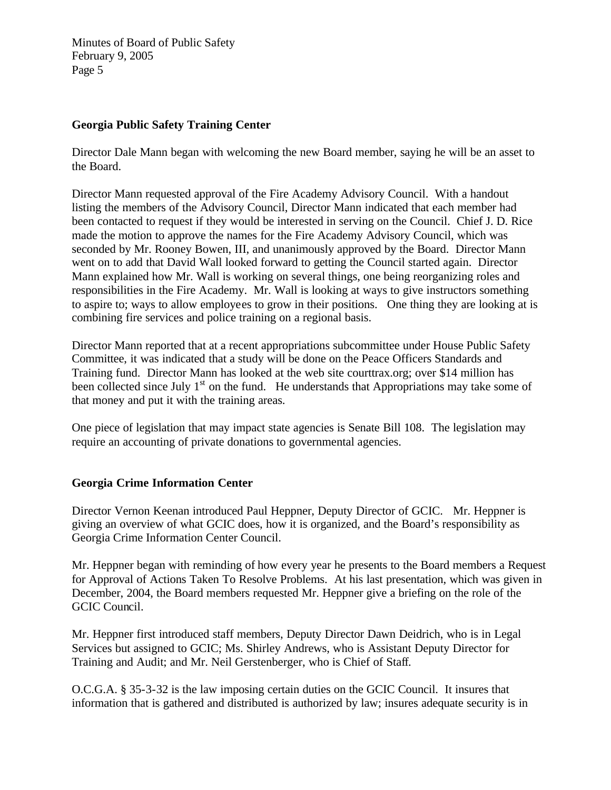## **Georgia Public Safety Training Center**

Director Dale Mann began with welcoming the new Board member, saying he will be an asset to the Board.

Director Mann requested approval of the Fire Academy Advisory Council. With a handout listing the members of the Advisory Council, Director Mann indicated that each member had been contacted to request if they would be interested in serving on the Council. Chief J. D. Rice made the motion to approve the names for the Fire Academy Advisory Council, which was seconded by Mr. Rooney Bowen, III, and unanimously approved by the Board. Director Mann went on to add that David Wall looked forward to getting the Council started again. Director Mann explained how Mr. Wall is working on several things, one being reorganizing roles and responsibilities in the Fire Academy. Mr. Wall is looking at ways to give instructors something to aspire to; ways to allow employees to grow in their positions. One thing they are looking at is combining fire services and police training on a regional basis.

Director Mann reported that at a recent appropriations subcommittee under House Public Safety Committee, it was indicated that a study will be done on the Peace Officers Standards and Training fund. Director Mann has looked at the web site courttrax.org; over \$14 million has been collected since July  $1<sup>st</sup>$  on the fund. He understands that Appropriations may take some of that money and put it with the training areas.

One piece of legislation that may impact state agencies is Senate Bill 108. The legislation may require an accounting of private donations to governmental agencies.

# **Georgia Crime Information Center**

Director Vernon Keenan introduced Paul Heppner, Deputy Director of GCIC. Mr. Heppner is giving an overview of what GCIC does, how it is organized, and the Board's responsibility as Georgia Crime Information Center Council.

Mr. Heppner began with reminding of how every year he presents to the Board members a Request for Approval of Actions Taken To Resolve Problems. At his last presentation, which was given in December, 2004, the Board members requested Mr. Heppner give a briefing on the role of the GCIC Council.

Mr. Heppner first introduced staff members, Deputy Director Dawn Deidrich, who is in Legal Services but assigned to GCIC; Ms. Shirley Andrews, who is Assistant Deputy Director for Training and Audit; and Mr. Neil Gerstenberger, who is Chief of Staff.

O.C.G.A. § 35-3-32 is the law imposing certain duties on the GCIC Council. It insures that information that is gathered and distributed is authorized by law; insures adequate security is in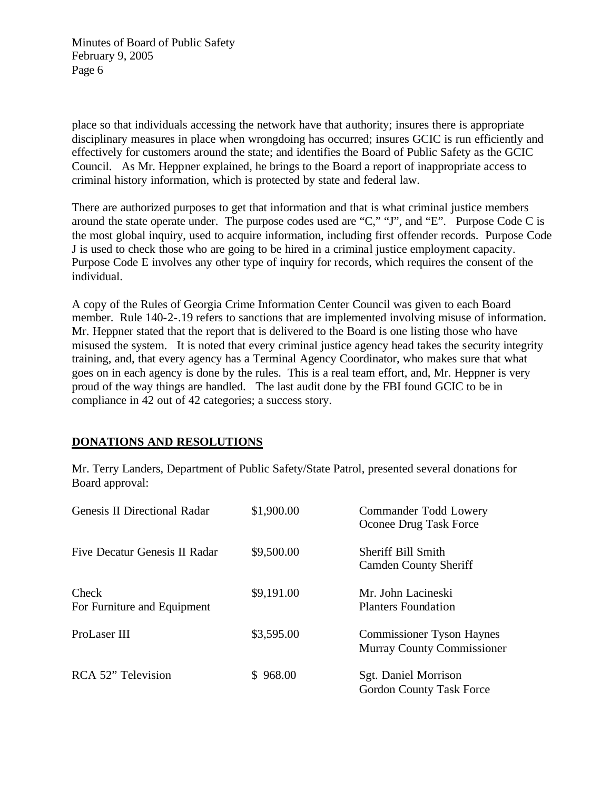place so that individuals accessing the network have that authority; insures there is appropriate disciplinary measures in place when wrongdoing has occurred; insures GCIC is run efficiently and effectively for customers around the state; and identifies the Board of Public Safety as the GCIC Council. As Mr. Heppner explained, he brings to the Board a report of inappropriate access to criminal history information, which is protected by state and federal law.

There are authorized purposes to get that information and that is what criminal justice members around the state operate under. The purpose codes used are "C," "J", and "E". Purpose Code C is the most global inquiry, used to acquire information, including first offender records. Purpose Code J is used to check those who are going to be hired in a criminal justice employment capacity. Purpose Code E involves any other type of inquiry for records, which requires the consent of the individual.

A copy of the Rules of Georgia Crime Information Center Council was given to each Board member. Rule 140-2-.19 refers to sanctions that are implemented involving misuse of information. Mr. Heppner stated that the report that is delivered to the Board is one listing those who have misused the system. It is noted that every criminal justice agency head takes the security integrity training, and, that every agency has a Terminal Agency Coordinator, who makes sure that what goes on in each agency is done by the rules. This is a real team effort, and, Mr. Heppner is very proud of the way things are handled. The last audit done by the FBI found GCIC to be in compliance in 42 out of 42 categories; a success story.

# **DONATIONS AND RESOLUTIONS**

Mr. Terry Landers, Department of Public Safety/State Patrol, presented several donations for Board approval:

| <b>Genesis II Directional Radar</b>  | \$1,900.00 | Commander Todd Lowery<br>Oconee Drug Task Force                       |
|--------------------------------------|------------|-----------------------------------------------------------------------|
| Five Decatur Genesis II Radar        | \$9,500.00 | <b>Sheriff Bill Smith</b><br><b>Camden County Sheriff</b>             |
| Check<br>For Furniture and Equipment | \$9,191.00 | Mr. John Lacineski<br><b>Planters Foundation</b>                      |
| ProLaser III                         | \$3,595.00 | <b>Commissioner Tyson Haynes</b><br><b>Murray County Commissioner</b> |
| RCA 52" Television                   | \$968.00   | Sgt. Daniel Morrison<br><b>Gordon County Task Force</b>               |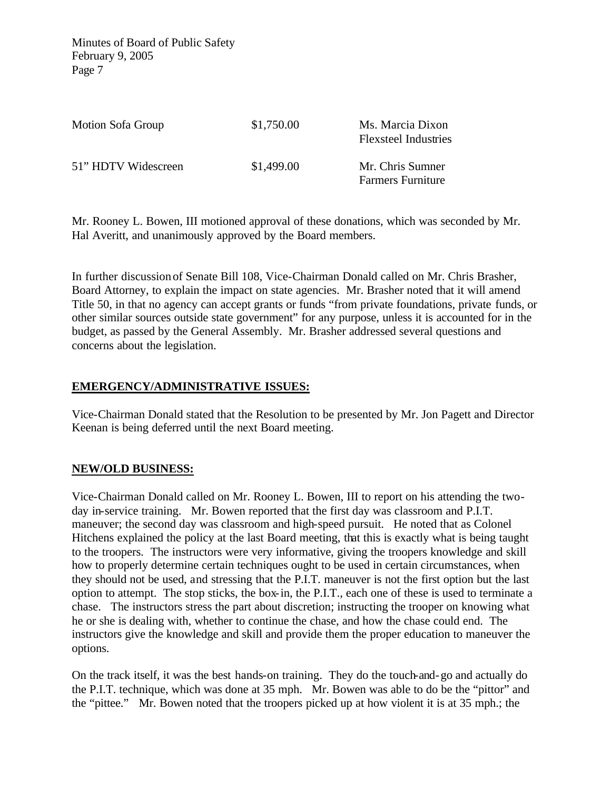| Motion Sofa Group   | \$1,750.00 | Ms. Marcia Dixon<br><b>Flexsteel Industries</b> |
|---------------------|------------|-------------------------------------------------|
| 51" HDTV Widescreen | \$1,499.00 | Mr. Chris Sumner<br><b>Farmers Furniture</b>    |

Mr. Rooney L. Bowen, III motioned approval of these donations, which was seconded by Mr. Hal Averitt, and unanimously approved by the Board members.

In further discussion of Senate Bill 108, Vice-Chairman Donald called on Mr. Chris Brasher, Board Attorney, to explain the impact on state agencies. Mr. Brasher noted that it will amend Title 50, in that no agency can accept grants or funds "from private foundations, private funds, or other similar sources outside state government" for any purpose, unless it is accounted for in the budget, as passed by the General Assembly. Mr. Brasher addressed several questions and concerns about the legislation.

# **EMERGENCY/ADMINISTRATIVE ISSUES:**

Vice-Chairman Donald stated that the Resolution to be presented by Mr. Jon Pagett and Director Keenan is being deferred until the next Board meeting.

# **NEW/OLD BUSINESS:**

Vice-Chairman Donald called on Mr. Rooney L. Bowen, III to report on his attending the twoday in-service training. Mr. Bowen reported that the first day was classroom and P.I.T. maneuver; the second day was classroom and high-speed pursuit. He noted that as Colonel Hitchens explained the policy at the last Board meeting, that this is exactly what is being taught to the troopers. The instructors were very informative, giving the troopers knowledge and skill how to properly determine certain techniques ought to be used in certain circumstances, when they should not be used, and stressing that the P.I.T. maneuver is not the first option but the last option to attempt. The stop sticks, the box-in, the P.I.T., each one of these is used to terminate a chase. The instructors stress the part about discretion; instructing the trooper on knowing what he or she is dealing with, whether to continue the chase, and how the chase could end. The instructors give the knowledge and skill and provide them the proper education to maneuver the options.

On the track itself, it was the best hands-on training. They do the touch-and-go and actually do the P.I.T. technique, which was done at 35 mph. Mr. Bowen was able to do be the "pittor" and the "pittee." Mr. Bowen noted that the troopers picked up at how violent it is at 35 mph.; the